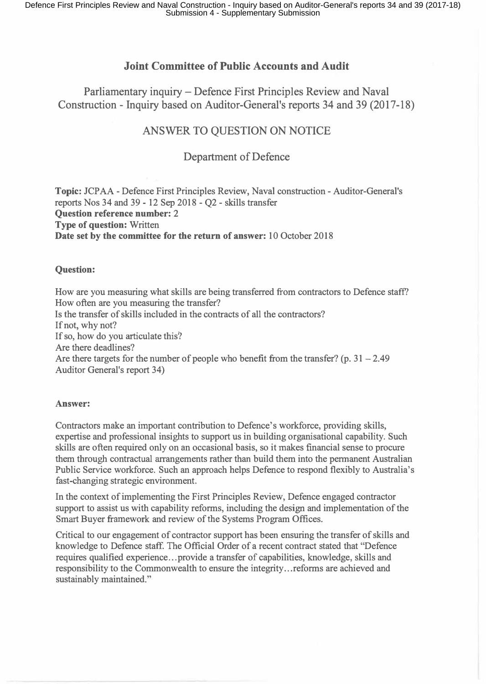## **Joint Committee of Public Accounts and Audit**

Parliamentary inquiry - Defence First Principles Review and Naval Construction - Inquiry based on Auditor-General's reports 34 and 39 (2017-18)

# ANSWER TO QUESTION ON NOTICE

### Department of Defence

**Topic:** JCP AA - Defence First Principles Review, Naval construction - Auditor-General's reports Nos 34 and 39 - 12 Sep 2018 - Q2 - skills transfer **Question reference number: 2 Type of question:** Written **Date set by the committee for the return of answer:** 10 October 2018

#### **Question:**

How are you measuring what skills are being transferred from contractors to Defence staff? How often are you measuring the transfer? Is the transfer of skills included in the contracts of all the contractors? If not, why not? If so, how do you articulate this? Are there deadlines? Are there targets for the number of people who benefit from the transfer? (p.  $31 - 2.49$ ) Auditor General's report 34)

#### **Answer:**

Contractors make an important contribution to Defence's workforce, providing skills, expertise and professional insights to support us in building organisational capability. Such skills are often required only on an occasional basis, so it makes financial sense to procure them through contractual arrangements rather than build them into the permanent Australian Public Service workforce. Such an approach helps Defence to respond flexibly to Australia's fast-changing strategic environment.

In the context of implementing the First Principles Review, Defence engaged contractor support to assist us with capability reforms, including the design and implementation of the Smart Buyer framework and review of the Systems Program Offices.

Critical to our engagement of contractor support has been ensuring the transfer of skills and knowledge to Defence staff. The Official Order of a recent contract stated that "Defence requires qualified experience ... provide a transfer of capabilities, knowledge, skills and responsibility to the Commonwealth to ensure the integrity ... reforms are achieved and sustainably maintained."